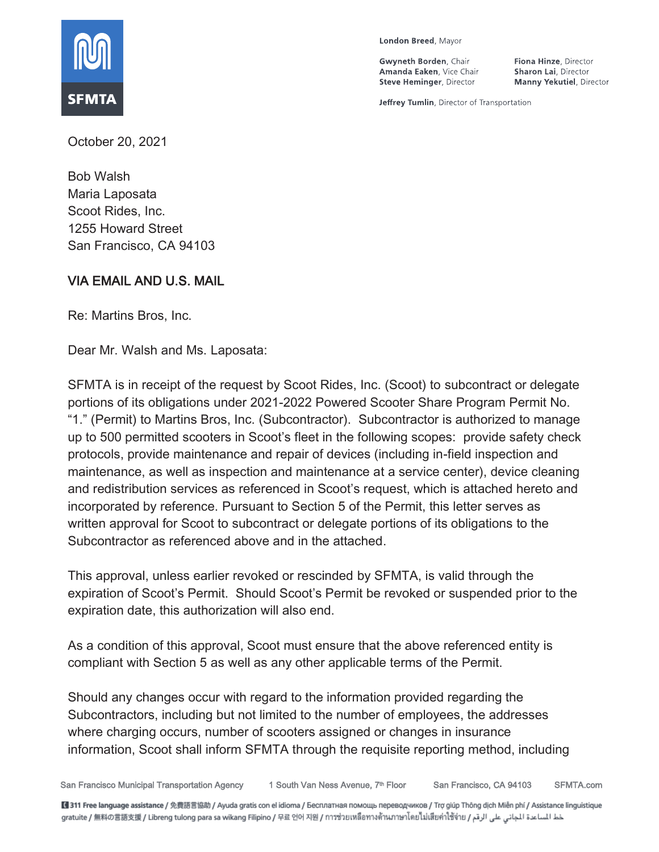

London Breed, Mayor

Gwyneth Borden, Chair Amanda Eaken, Vice Chair **Steve Heminger, Director** 

Fiona Hinze, Director Sharon Lai, Director **Manny Yekutiel**, Director

Jeffrey Tumlin, Director of Transportation

October 20, 2021

Bob Walsh Maria Laposata Scoot Rides, Inc. 1255 Howard Street San Francisco, CA 94103

# VIA EMAIL AND U.S. MAIL

Re: Martins Bros, Inc.

Dear Mr. Walsh and Ms. Laposata:

SFMTA is in receipt of the request by Scoot Rides, Inc. (Scoot) to subcontract or delegate portions of its obligations under 2021-2022 Powered Scooter Share Program Permit No. "1." (Permit) to Martins Bros, Inc. (Subcontractor). Subcontractor is authorized to manage up to 500 permitted scooters in Scoot's fleet in the following scopes: provide safety check protocols, provide maintenance and repair of devices (including in-field inspection and maintenance, as well as inspection and maintenance at a service center), device cleaning and redistribution services as referenced in Scoot's request, which is attached hereto and incorporated by reference. Pursuant to Section 5 of the Permit, this letter serves as written approval for Scoot to subcontract or delegate portions of its obligations to the Subcontractor as referenced above and in the attached.

This approval, unless earlier revoked or rescinded by SFMTA, is valid through the expiration of Scoot's Permit. Should Scoot's Permit be revoked or suspended prior to the expiration date, this authorization will also end.

As a condition of this approval, Scoot must ensure that the above referenced entity is compliant with Section 5 as well as any other applicable terms of the Permit.

Should any changes occur with regard to the information provided regarding the Subcontractors, including but not limited to the number of employees, the addresses where charging occurs, number of scooters assigned or changes in insurance information, Scoot shall inform SFMTA through the requisite reporting method, including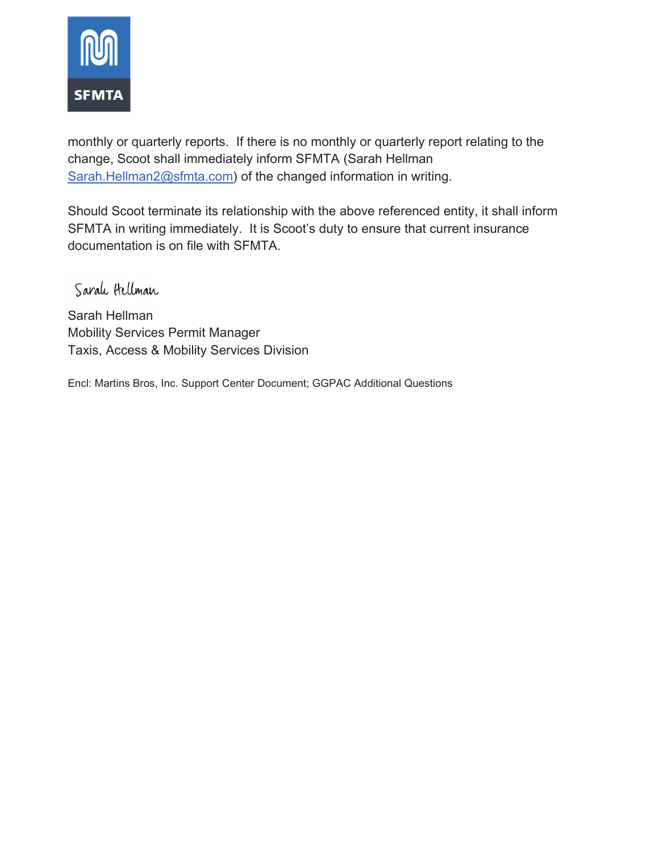

monthly or quarterly reports. If there is no monthly or quarterly report relating to the change, Scoot shall immediately inform SFMTA (Sarah Hellman Sarah.Hellman2@sfmta.com) of the changed information in writing.

Should Scoot terminate its relationship with the above referenced entity, it shall inform SFMTA in writing immediately. It is Scoot's duty to ensure that current insurance documentation is on file with SFMTA.

Sarah Hellman

Sarah Hellman Mobility Services Permit Manager Taxis, Access & Mobility Services Division

Encl: Martins Bros, Inc. Support Center Document; GGPAC Additional Questions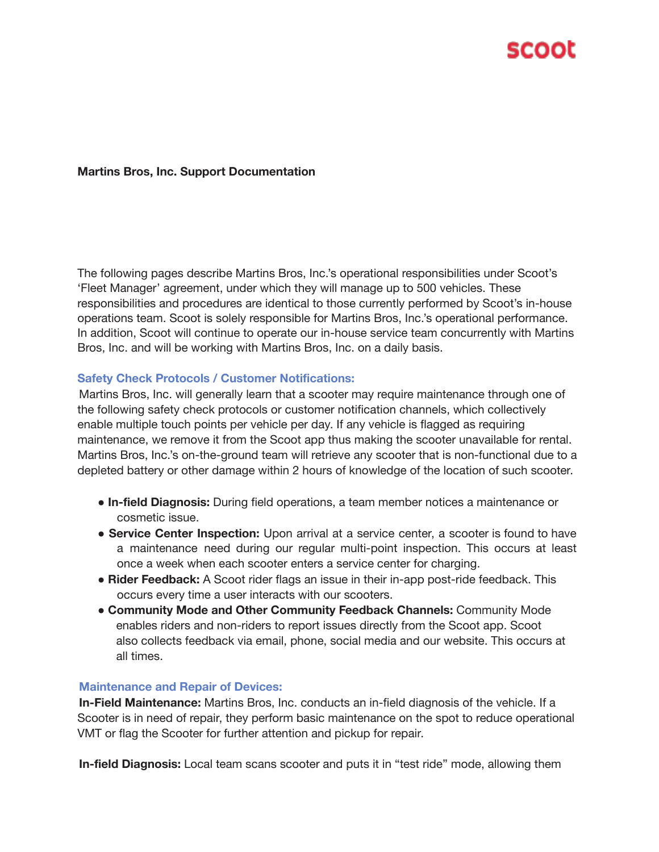

### **Martins Bros, Inc. Support Documentation**

The following pages describe Martins Bros, Inc.'s operational responsibilities under Scoot's 'Fleet Manager' agreement, under which they will manage up to 500 vehicles. These responsibilities and procedures are identical to those currently performed by Scoot's in-house operations team. Scoot is solely responsible for Martins Bros, Inc.'s operational performance. In addition, Scoot will continue to operate our in-house service team concurrently with Martins Bros, Inc. and will be working with Martins Bros, Inc. on a daily basis.

#### **Safety Check Protocols / Customer Notifications:**

Martins Bros, Inc. will generally learn that a scooter may require maintenance through one of the following safety check protocols or customer notification channels, which collectively enable multiple touch points per vehicle per day. If any vehicle is flagged as requiring maintenance, we remove it from the Scoot app thus making the scooter unavailable for rental. Martins Bros, Inc.'s on-the-ground team will retrieve any scooter that is non-functional due to a depleted battery or other damage within 2 hours of knowledge of the location of such scooter.

- **In-field Diagnosis:** During field operations, a team member notices a maintenance or cosmetic issue.
- **Service Center Inspection:** Upon arrival at a service center, a scooter is found to have a maintenance need during our regular multi-point inspection. This occurs at least once a week when each scooter enters a service center for charging.
- **Rider Feedback:** A Scoot rider flags an issue in their in-app post-ride feedback. This occurs every time a user interacts with our scooters.
- **Community Mode and Other Community Feedback Channels:** Community Mode enables riders and non-riders to report issues directly from the Scoot app. Scoot also collects feedback via email, phone, social media and our website. This occurs at all times.

### **Maintenance and Repair of Devices:**

**In-Field Maintenance:** Martins Bros, Inc. conducts an in-field diagnosis of the vehicle. If a Scooter is in need of repair, they perform basic maintenance on the spot to reduce operational VMT or flag the Scooter for further attention and pickup for repair.

**In-field Diagnosis:** Local team scans scooter and puts it in "test ride" mode, allowing them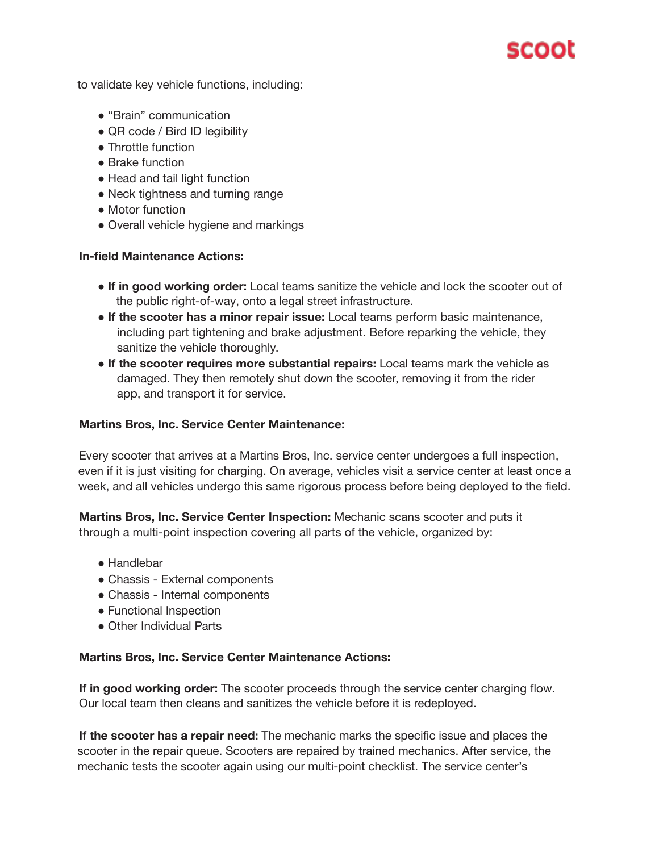

to validate key vehicle functions, including:

- "Brain" communication
- QR code / Bird ID legibility
- Throttle function
- Brake function
- Head and tail light function
- Neck tightness and turning range
- Motor function
- Overall vehicle hygiene and markings

### **In-field Maintenance Actions:**

- **If in good working order:** Local teams sanitize the vehicle and lock the scooter out of the public right-of-way, onto a legal street infrastructure.
- **If the scooter has a minor repair issue:** Local teams perform basic maintenance, including part tightening and brake adjustment. Before reparking the vehicle, they sanitize the vehicle thoroughly.
- **If the scooter requires more substantial repairs:** Local teams mark the vehicle as damaged. They then remotely shut down the scooter, removing it from the rider app, and transport it for service.

### **Martins Bros, Inc. Service Center Maintenance:**

Every scooter that arrives at a Martins Bros, Inc. service center undergoes a full inspection, even if it is just visiting for charging. On average, vehicles visit a service center at least once a week, and all vehicles undergo this same rigorous process before being deployed to the field.

**Martins Bros, Inc. Service Center Inspection:** Mechanic scans scooter and puts it through a multi-point inspection covering all parts of the vehicle, organized by:

- Handlebar
- Chassis External components
- Chassis Internal components
- Functional Inspection
- Other Individual Parts

#### **Martins Bros, Inc. Service Center Maintenance Actions:**

**If in good working order:** The scooter proceeds through the service center charging flow. Our local team then cleans and sanitizes the vehicle before it is redeployed.

**If the scooter has a repair need:** The mechanic marks the specific issue and places the scooter in the repair queue. Scooters are repaired by trained mechanics. After service, the mechanic tests the scooter again using our multi-point checklist. The service center's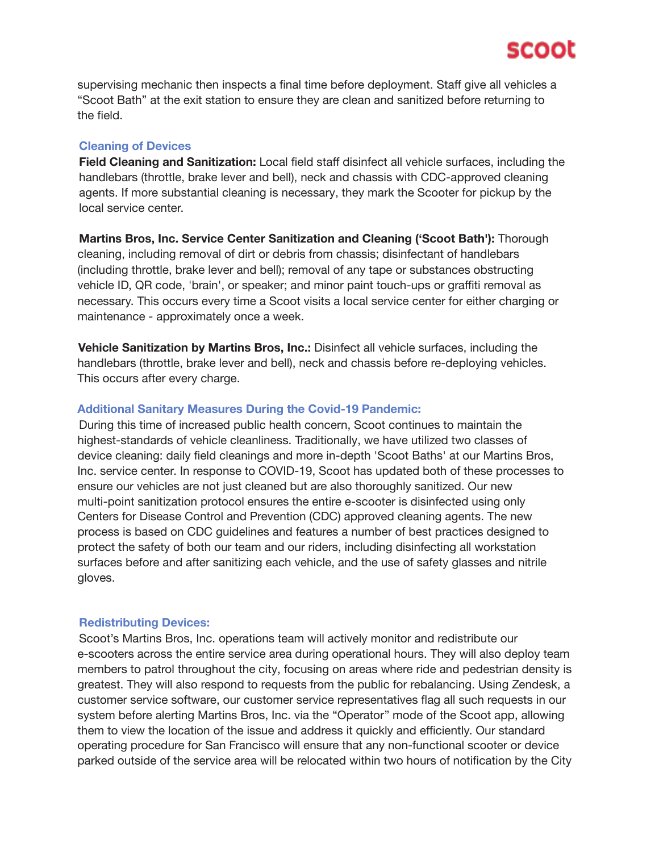

supervising mechanic then inspects a final time before deployment. Staff give all vehicles a "Scoot Bath" at the exit station to ensure they are clean and sanitized before returning to the field.

#### **Cleaning of Devices**

**Field Cleaning and Sanitization:** Local field staff disinfect all vehicle surfaces, including the handlebars (throttle, brake lever and bell), neck and chassis with CDC-approved cleaning agents. If more substantial cleaning is necessary, they mark the Scooter for pickup by the local service center.

**Martins Bros, Inc. Service Center Sanitization and Cleaning ('Scoot Bath'):** Thorough cleaning, including removal of dirt or debris from chassis; disinfectant of handlebars (including throttle, brake lever and bell); removal of any tape or substances obstructing vehicle ID, QR code, 'brain', or speaker; and minor paint touch-ups or graffiti removal as necessary. This occurs every time a Scoot visits a local service center for either charging or maintenance - approximately once a week.

**Vehicle Sanitization by Martins Bros, Inc.:** Disinfect all vehicle surfaces, including the handlebars (throttle, brake lever and bell), neck and chassis before re-deploying vehicles. This occurs after every charge.

#### **Additional Sanitary Measures During the Covid-19 Pandemic:**

During this time of increased public health concern, Scoot continues to maintain the highest-standards of vehicle cleanliness. Traditionally, we have utilized two classes of device cleaning: daily field cleanings and more in-depth 'Scoot Baths' at our Martins Bros, Inc. service center. In response to COVID-19, Scoot has updated both of these processes to ensure our vehicles are not just cleaned but are also thoroughly sanitized. Our new multi-point sanitization protocol ensures the entire e-scooter is disinfected using only Centers for Disease Control and Prevention (CDC) approved cleaning agents. The new process is based on CDC guidelines and features a number of best practices designed to protect the safety of both our team and our riders, including disinfecting all workstation surfaces before and after sanitizing each vehicle, and the use of safety glasses and nitrile gloves.

#### **Redistributing Devices:**

Scoot's Martins Bros, Inc. operations team will actively monitor and redistribute our e-scooters across the entire service area during operational hours. They will also deploy team members to patrol throughout the city, focusing on areas where ride and pedestrian density is greatest. They will also respond to requests from the public for rebalancing. Using Zendesk, a customer service software, our customer service representatives flag all such requests in our system before alerting Martins Bros, Inc. via the "Operator" mode of the Scoot app, allowing them to view the location of the issue and address it quickly and efficiently. Our standard operating procedure for San Francisco will ensure that any non-functional scooter or device parked outside of the service area will be relocated within two hours of notification by the City